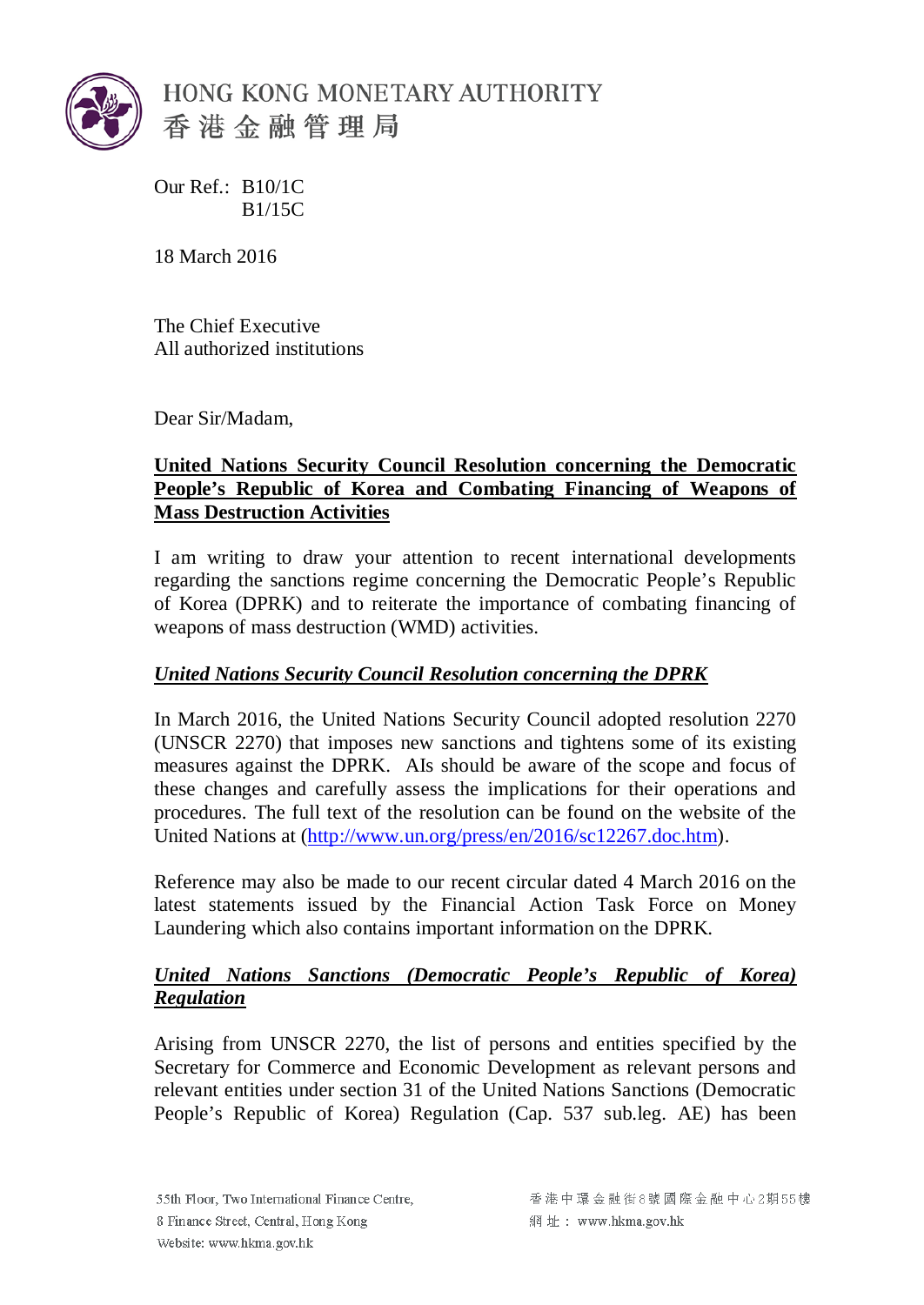

Our Ref.: B10/1C B1/15C

18 March 2016

The Chief Executive All authorized institutions

Dear Sir/Madam,

## **United Nations Security Council Resolution concerning the Democratic People's Republic of Korea and Combating Financing of Weapons of Mass Destruction Activities**

I am writing to draw your attention to recent international developments regarding the sanctions regime concerning the Democratic People's Republic of Korea (DPRK) and to reiterate the importance of combating financing of weapons of mass destruction (WMD) activities.

## *United Nations Security Council Resolution concerning the DPRK*

In March 2016, the United Nations Security Council adopted resolution 2270 (UNSCR 2270) that imposes new sanctions and tightens some of its existing measures against the DPRK. AIs should be aware of the scope and focus of these changes and carefully assess the implications for their operations and procedures. The full text of the resolution can be found on the website of the United Nations at [\(http://www.un.org/press/en/2016/sc12267.doc.htm\)](http://www.un.org/press/en/2016/sc12267.doc.htm).

Reference may also be made to our recent circular dated 4 March 2016 on the latest statements issued by the Financial Action Task Force on Money Laundering which also contains important information on the DPRK.

## *United Nations Sanctions (Democratic People's Republic of Korea) Regulation*

Arising from UNSCR 2270, the list of persons and entities specified by the Secretary for Commerce and Economic Development as relevant persons and relevant entities under section 31 of the United Nations Sanctions (Democratic People's Republic of Korea) Regulation (Cap. 537 sub.leg. AE) has been